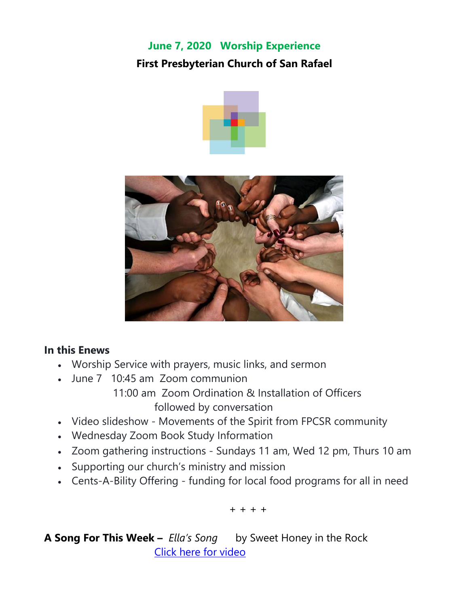# **June 7, 2020 Worship Experience First Presbyterian Church of San Rafael**





#### **In this Enews**

- Worship Service with prayers, music links, and sermon
- June 7 10:45 am Zoom communion
	- 11:00 am Zoom Ordination & Installation of Officers followed by conversation
- Video slideshow Movements of the Spirit from FPCSR community
- Wednesday Zoom Book Study Information
- Zoom gathering instructions Sundays 11 am, Wed 12 pm, Thurs 10 am
- Supporting our church's ministry and mission
- Cents-A-Bility Offering funding for local food programs for all in need

+ + + +

**A Song For This Week –** *Ella's Song*by Sweet Honey in the Rock [Click here for video](https://www.youtube.com/watch?v=LoPofPzkJ4U&list=PL6CF8C6C41DBDAB45&index=3)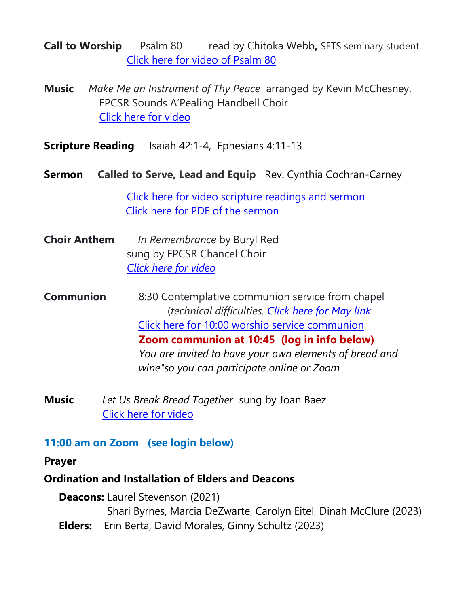**Call to Worship** Psalm 80 *read by Chitoka Webb, SFTS seminary student* [Click here for video of Psalm 80](https://www.youtube.com/watch?v=tdLybi5ykEc)

- **Music** *Make Me an Instrument of Thy Peace* arranged by Kevin McChesney. FPCSR Sounds A'Pealing Handbell Choir [Click here for video](https://www.youtube.com/watch?v=BS8CBwSU_2M)
- **Scripture Reading** Isaiah 42:1-4, Ephesians 4:11-13
- **Sermon Called to Serve, Lead and Equip** Rev. Cynthia Cochran-Carney I

[Click here for video scripture readings and sermon](https://www.youtube.com/watch?v=_CNLam7D1vk) [Click here for PDF of the sermon](https://5c6db69c-7b6d-4dcf-93ba-cd68163aa390.filesusr.com/ugd/03e078_91108e4063e44fbf9c5420481ae868ae.pdf)

- **Choir Anthem** *In Remembrance* by Buryl Red sung by FPCSR Chancel Choir *[Click here for video](https://www.youtube.com/watch?v=C6gkXHa383s)*
- **Communion** 8:30 Contemplative communion service from chapel (*technical difficulties. [Click](https://www.youtube.com/watch?v=_eXKtf9g0pw&list=PLeJ1bYUiB9dk4lMNLmQX3ByQ43Be0AIim&index=2) here for May link* Click here for 10:00 worship service [communion](https://www.youtube.com/watch?v=Xv7Vh0eCidI)  **Zoom communion at 10:45 (log in info below)** *You are invited to have your own elements of bread and wine"so you can participate online or Zoom*
- **Music** *Let Us Break Bread Together* sung by Joan Baez [Click here for video](https://www.facebook.com/OfficialJoanBaez/videos/vb.125313659416/261087328312519/?type=2&theater)

#### **11:00 am on Zoom (see login below)**

**Prayer**

#### **Ordination and Installation of Elders and Deacons**

 **Deacons:** Laurel Stevenson (2021) Shari Byrnes, Marcia DeZwarte, Carolyn Eitel, Dinah McClure (2023)

 **Elders:** Erin Berta, David Morales, Ginny Schultz (2023)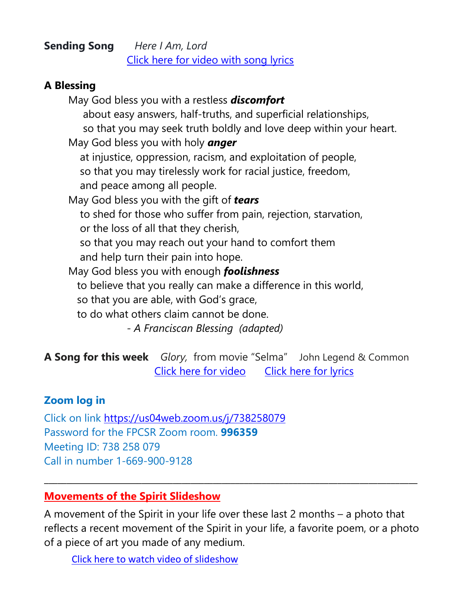#### **Sending Song** *Here I Am, Lord* [Click here for video with song lyrics](https://www.youtube.com/watch?v=mgLwH5RdtPk)

#### **A Blessing**

May God bless you with a restless *discomfort* about easy answers, half-truths, and superficial relationships, so that you may seek truth boldly and love deep within your heart. May God bless you with holy *anger* at injustice, oppression, racism, and exploitation of people, so that you may tirelessly work for racial justice, freedom, and peace among all people. May God bless you with the gift of *tears* to shed for those who suffer from pain, rejection, starvation, or the loss of all that they cherish, so that you may reach out your hand to comfort them and help turn their pain into hope. May God bless you with enough *foolishness* to believe that you really can make a difference in this world, so that you are able, with God's grace, to do what others claim cannot be done. *- A Franciscan Blessing (adapted)*

**A Song for this week** *Glory,* from movie "Selma" John Legend & Common [Click here for video](https://www.youtube.com/watch?v=HUZOKvYcx_o) [Click here for lyrics](https://www.google.com/search?q=lyrics+glory+john+legend&oq=lyrics+Glory+John+&aqs=chrome.0.0j69i57j0l5.5635j0j7&sourceid=chrome&ie=UTF-8)

#### **Zoom log in**

Click on link [https://us04web.zoom.us/j/738258079](https://fpcsr.us10.list-manage.com/track/click?u=7702e1900a88d8b94a1ecec3e&id=77a5ec99b3&e=6570fc74f0) Password for the FPCSR Zoom room. **996359** Meeting ID: 738 258 079 Call in number 1-669-900-9128

#### **Movements of the Spirit Slideshow**

A movement of the Spirit in your life over these last 2 months – a photo that reflects a recent movement of the Spirit in your life, a favorite poem, or a photo of a piece of art you made of any medium.

**\_\_\_\_\_\_\_\_\_\_\_\_\_\_\_\_\_\_\_\_\_\_\_\_\_\_\_\_\_\_\_\_\_\_\_\_\_\_\_\_\_\_\_\_\_\_\_\_\_\_\_\_\_\_\_\_\_\_\_\_\_\_\_\_\_\_\_\_\_\_\_\_\_\_\_\_\_\_\_\_\_\_\_\_**

[Click here to watch video of slideshow](https://www.youtube.com/watch?v=OZxL2_2Hn_A)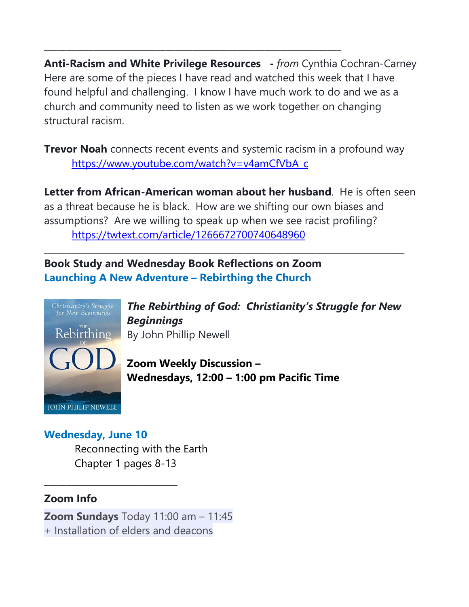**Anti-Racism and White Privilege Resources -** *from* Cynthia Cochran-Carney Here are some of the pieces I have read and watched this week that I have found helpful and challenging. I know I have much work to do and we as a church and community need to listen as we work together on changing structural racism.

**\_\_\_\_\_\_\_\_\_\_\_\_\_\_\_\_\_\_\_\_\_\_\_\_\_\_\_\_\_\_\_\_\_\_\_\_\_\_\_\_\_\_\_\_\_\_\_\_\_\_\_\_\_\_\_\_\_\_\_\_\_\_\_\_\_\_**

**Trevor Noah** connects recent events and systemic racism in a profound way [https://www.youtube.com/watch?v=v4amCfVbA\\_c](https://www.youtube.com/watch?v=v4amCfVbA_c)

**Letter from African-American woman about her husband**. He is often seen as a threat because he is black. How are we shifting our own biases and assumptions? Are we willing to speak up when we see racist profiling? <https://twtext.com/article/1266672700740648960>

\_\_\_\_\_\_\_\_\_\_\_\_\_\_\_\_\_\_\_\_\_\_\_\_\_\_\_\_\_\_\_\_\_\_\_\_\_\_\_\_\_\_\_\_\_\_\_\_\_\_\_\_\_\_\_\_\_\_\_\_\_\_\_\_\_\_\_\_\_\_\_\_\_\_\_\_\_\_\_\_\_

**Book Study and Wednesday Book Reflections on Zoom Launching A New Adventure – Rebirthing the Church**



*The Rebirthing of God: Christianity's Struggle for New Beginnings*  By John Phillip Newell

**Zoom Weekly Discussion – Wednesdays, 12:00 – 1:00 pm Pacific Time**

#### **Wednesday, June 10**

\_\_\_\_\_\_\_\_\_\_\_\_\_\_\_\_\_\_\_\_\_\_\_\_\_\_\_\_\_\_

Reconnecting with the Earth Chapter 1 pages 8-13

#### **Zoom Info**

**Zoom Sundays** Today 11:00 am – 11:45 + Installation of elders and deacons